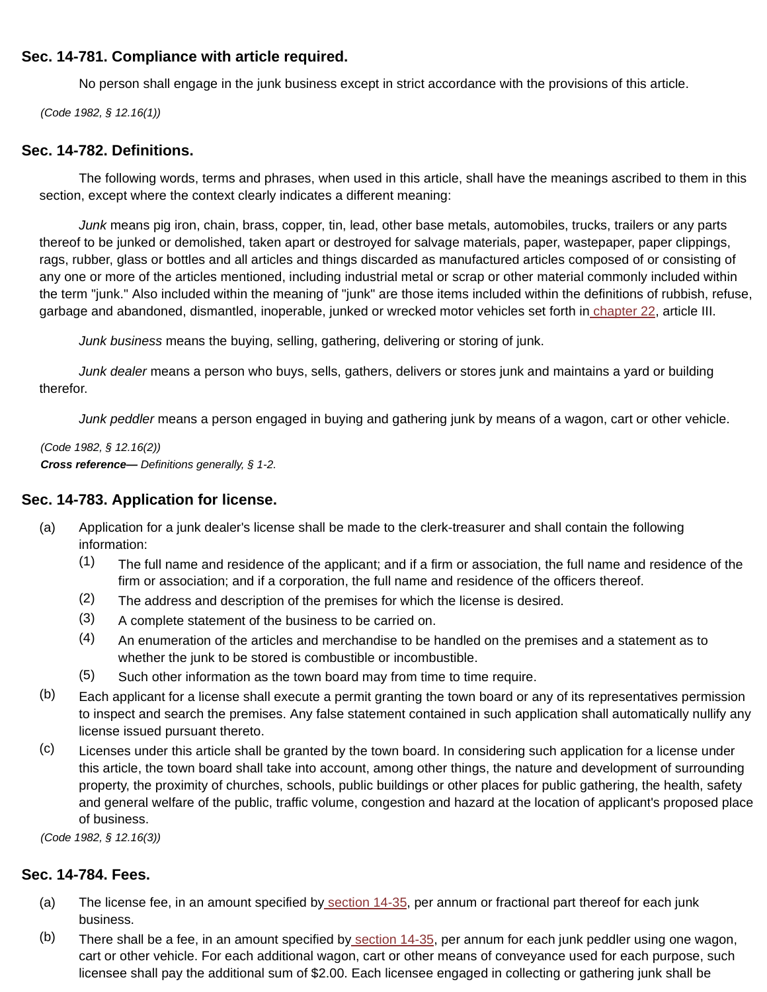# **Sec. 14-781. Compliance with article required.**

No person shall engage in the junk business except in strict accordance with the provisions of this article.

(Code 1982, § 12.16(1))

### **Sec. 14-782. Definitions.**

The following words, terms and phrases, when used in this article, shall have the meanings ascribed to them in this section, except where the context clearly indicates a different meaning:

Junk means pig iron, chain, brass, copper, tin, lead, other base metals, automobiles, trucks, trailers or any parts thereof to be junked or demolished, taken apart or destroyed for salvage materials, paper, wastepaper, paper clippings, rags, rubber, glass or bottles and all articles and things discarded as manufactured articles composed of or consisting of any one or more of the articles mentioned, including industrial metal or scrap or other material commonly included within the term "junk." Also included within the meaning of "junk" are those items included within the definitions of rubbish, refuse, garbage and abandoned, dismantled, inoperable, junked or wrecked motor vehicles set forth in chapter 22, article III.

Junk business means the buying, selling, gathering, delivering or storing of junk.

Junk dealer means a person who buys, sells, gathers, delivers or stores junk and maintains a yard or building therefor.

Junk peddler means a person engaged in buying and gathering junk by means of a wagon, cart or other vehicle.

(Code 1982, § 12.16(2)) **Cross reference—** Definitions generally, § 1-2.

## **Sec. 14-783. Application for license.**

- (a) Application for a junk dealer's license shall be made to the clerk-treasurer and shall contain the following information:
	- (1) The full name and residence of the applicant; and if a firm or association, the full name and residence of the firm or association; and if a corporation, the full name and residence of the officers thereof.
	- (2) The address and description of the premises for which the license is desired.
	- (3) A complete statement of the business to be carried on.
	- (4) An enumeration of the articles and merchandise to be handled on the premises and a statement as to whether the junk to be stored is combustible or incombustible.
	- (5) Such other information as the town board may from time to time require.
- (b) Each applicant for a license shall execute a permit granting the town board or any of its representatives permission to inspect and search the premises. Any false statement contained in such application shall automatically nullify any license issued pursuant thereto.
- (c) Licenses under this article shall be granted by the town board. In considering such application for a license under this article, the town board shall take into account, among other things, the nature and development of surrounding property, the proximity of churches, schools, public buildings or other places for public gathering, the health, safety and general welfare of the public, traffic volume, congestion and hazard at the location of applicant's proposed place of business.

(Code 1982, § 12.16(3))

## **Sec. 14-784. Fees.**

- (a) The license fee, in an amount specified by section 14-35, per annum or fractional part thereof for each junk business.
- (b) There shall be a fee, in an amount specified by section 14-35, per annum for each junk peddler using one wagon, cart or other vehicle. For each additional wagon, cart or other means of conveyance used for each purpose, such licensee shall pay the additional sum of \$2.00. Each licensee engaged in collecting or gathering junk shall be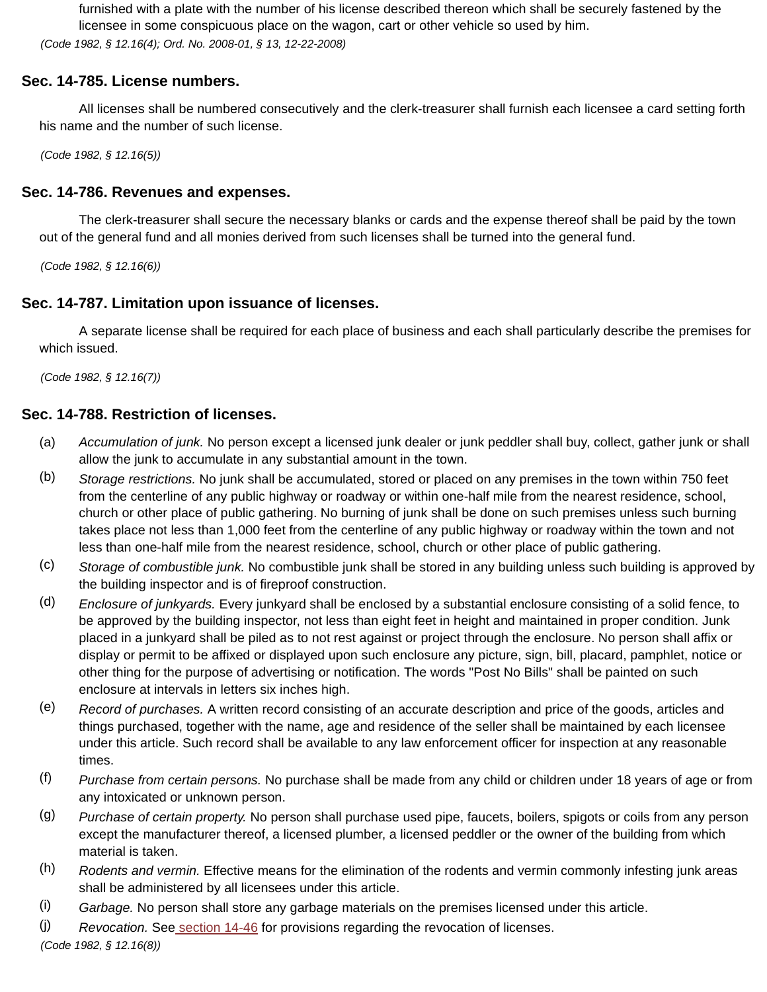furnished with a plate with the number of his license described thereon which shall be securely fastened by the licensee in some conspicuous place on the wagon, cart or other vehicle so used by him. (Code 1982, § 12.16(4); Ord. No. 2008-01, § 13, 12-22-2008)

# **Sec. 14-785. License numbers.**

All licenses shall be numbered consecutively and the clerk-treasurer shall furnish each licensee a card setting forth his name and the number of such license.

(Code 1982, § 12.16(5))

### **Sec. 14-786. Revenues and expenses.**

The clerk-treasurer shall secure the necessary blanks or cards and the expense thereof shall be paid by the town out of the general fund and all monies derived from such licenses shall be turned into the general fund.

(Code 1982, § 12.16(6))

## **Sec. 14-787. Limitation upon issuance of licenses.**

A separate license shall be required for each place of business and each shall particularly describe the premises for which issued.

(Code 1982, § 12.16(7))

### **Sec. 14-788. Restriction of licenses.**

- (a) Accumulation of junk. No person except a licensed junk dealer or junk peddler shall buy, collect, gather junk or shall allow the junk to accumulate in any substantial amount in the town.
- (b) Storage restrictions. No junk shall be accumulated, stored or placed on any premises in the town within 750 feet from the centerline of any public highway or roadway or within one-half mile from the nearest residence, school, church or other place of public gathering. No burning of junk shall be done on such premises unless such burning takes place not less than 1,000 feet from the centerline of any public highway or roadway within the town and not less than one-half mile from the nearest residence, school, church or other place of public gathering.
- (c) Storage of combustible junk. No combustible junk shall be stored in any building unless such building is approved by the building inspector and is of fireproof construction.
- (d) Enclosure of junkyards. Every junkyard shall be enclosed by a substantial enclosure consisting of a solid fence, to be approved by the building inspector, not less than eight feet in height and maintained in proper condition. Junk placed in a junkyard shall be piled as to not rest against or project through the enclosure. No person shall affix or display or permit to be affixed or displayed upon such enclosure any picture, sign, bill, placard, pamphlet, notice or other thing for the purpose of advertising or notification. The words "Post No Bills" shall be painted on such enclosure at intervals in letters six inches high.
- (e) Record of purchases. A written record consisting of an accurate description and price of the goods, articles and things purchased, together with the name, age and residence of the seller shall be maintained by each licensee under this article. Such record shall be available to any law enforcement officer for inspection at any reasonable times.
- (f) Purchase from certain persons. No purchase shall be made from any child or children under 18 years of age or from any intoxicated or unknown person.
- (g) Purchase of certain property. No person shall purchase used pipe, faucets, boilers, spigots or coils from any person except the manufacturer thereof, a licensed plumber, a licensed peddler or the owner of the building from which material is taken.
- (h) Rodents and vermin. Effective means for the elimination of the rodents and vermin commonly infesting junk areas shall be administered by all licensees under this article.
- (i) Garbage. No person shall store any garbage materials on the premises licensed under this article.

(j) Revocation. See section 14-46 for provisions regarding the revocation of licenses.

(Code 1982, § 12.16(8))